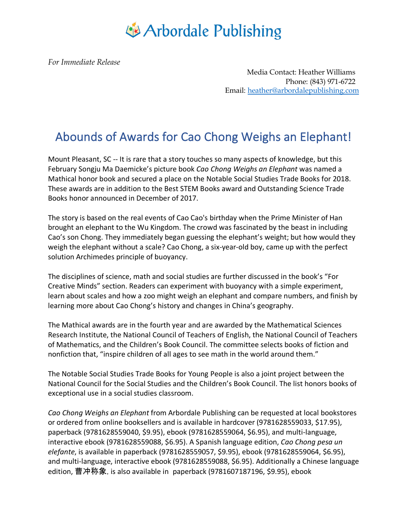## Arbordale Publishing

*For Immediate Release*

Media Contact: Heather Williams Phone: (843) 971-6722 Email: heather@arbordalepublishing.com

## Abounds of Awards for Cao Chong Weighs an Elephant!

Mount Pleasant, SC -- It is rare that a story touches so many aspects of knowledge, but this February Songju Ma Daemicke's picture book *Cao Chong Weighs an Elephant* was named a Mathical honor book and secured a place on the Notable Social Studies Trade Books for 2018. These awards are in addition to the Best STEM Books award and Outstanding Science Trade Books honor announced in December of 2017.

The story is based on the real events of Cao Cao's birthday when the Prime Minister of Han brought an elephant to the Wu Kingdom. The crowd was fascinated by the beast in including Cao's son Chong. They immediately began guessing the elephant's weight; but how would they weigh the elephant without a scale? Cao Chong, a six-year-old boy, came up with the perfect solution Archimedes principle of buoyancy.

The disciplines of science, math and social studies are further discussed in the book's "For Creative Minds" section. Readers can experiment with buoyancy with a simple experiment, learn about scales and how a zoo might weigh an elephant and compare numbers, and finish by learning more about Cao Chong's history and changes in China's geography.

The Mathical awards are in the fourth year and are awarded by the Mathematical Sciences Research Institute, the National Council of Teachers of English, the National Council of Teachers of Mathematics, and the Children's Book Council. The committee selects books of fiction and nonfiction that, "inspire children of all ages to see math in the world around them."

The Notable Social Studies Trade Books for Young People is also a joint project between the National Council for the Social Studies and the Children's Book Council. The list honors books of exceptional use in a social studies classroom.

*Cao Chong Weighs an Elephant* from Arbordale Publishing can be requested at local bookstores or ordered from online booksellers and is available in hardcover (9781628559033, \$17.95), paperback (9781628559040, \$9.95), ebook (9781628559064, \$6.95), and multi-language, interactive ebook (9781628559088, \$6.95). A Spanish language edition, *Cao Chong pesa un elefante*, is available in paperback (9781628559057, \$9.95), ebook (9781628559064, \$6.95), and multi-language, interactive ebook (9781628559088, \$6.95). Additionally a Chinese language edition, 曹冲称象, is also available in paperback (9781607187196, \$9.95), ebook